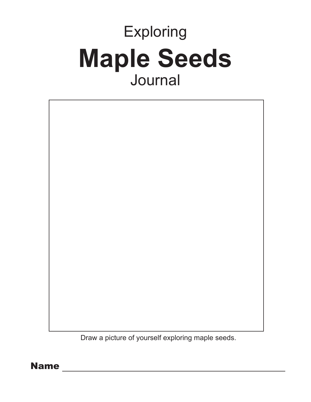# Exploring **Maple Seeds** Journal



Draw a picture of yourself exploring maple seeds.

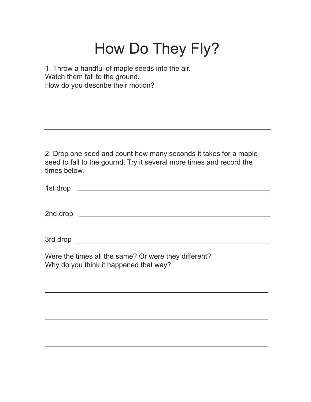## How Do They Fly?

1. Throw a handful of maple seeds into the air. Watch them fall to the ground. How do you describe their motion?

2. Drop one seed and count how many seconds it takes for a maple seed to fall to the gournd. Try it several more times and record the times below.

| 1st drop |  |  |
|----------|--|--|
|          |  |  |
|          |  |  |

2nd drop

3rd drop

Were the times all the same? Or were they different? Why do you think it happened that way?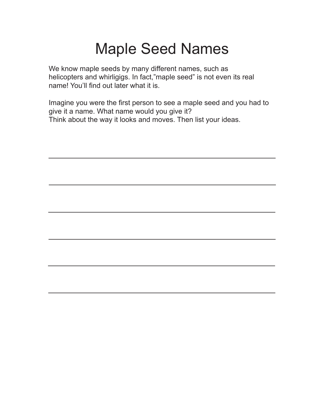#### Maple Seed Names

We know maple seeds by many different names, such as helicopters and whirligigs. In fact,"maple seed" is not even its real name! You'll find out later what it is.

Imagine you were the first person to see a maple seed and you had to give it a name. What name would you give it? Think about the way it looks and moves. Then list your ideas.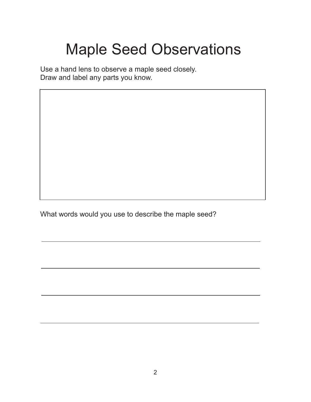# Maple Seed Observations

Use a hand lens to observe a maple seed closely. Draw and label any parts you know.

What words would you use to describe the maple seed?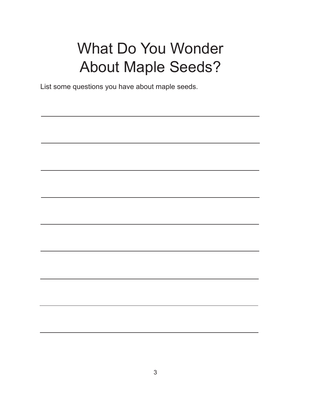## What Do You Wonder About Maple Seeds?

List some questions you have about maple seeds.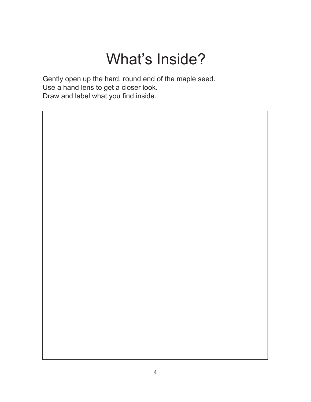# What's Inside?

Gently open up the hard, round end of the maple seed. Use a hand lens to get a closer look. Draw and label what you find inside.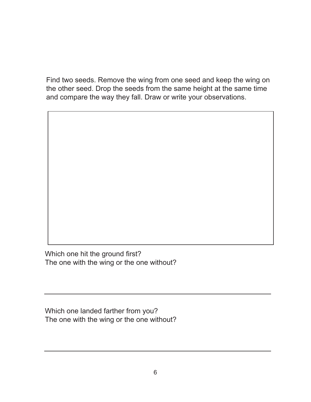Find two seeds. Remove the wing from one seed and keep the wing on the other seed. Drop the seeds from the same height at the same time and compare the way they fall. Draw or write your observations.

Which one hit the ground first? The one with the wing or the one without?

Which one landed farther from you? The one with the wing or the one without?